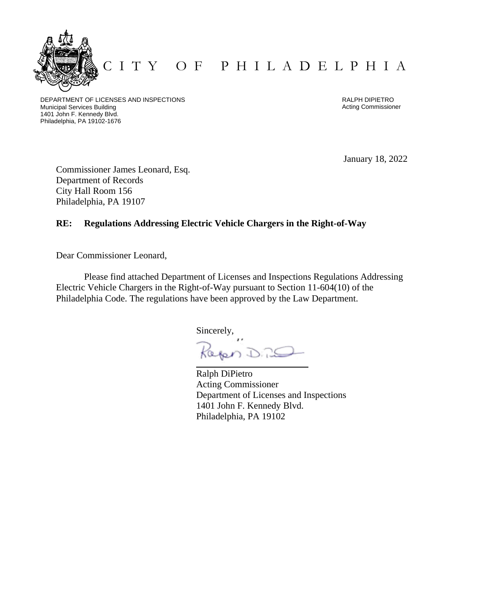

C I T Y O F P H I L A D E L P H I A

DEPARTMENT OF LICENSES AND INSPECTIONS Municipal Services Building 1401 John F. Kennedy Blvd. Philadelphia, PA 19102-1676

RALPH DIPIETRO Acting Commissioner

January 18, 2022

Commissioner James Leonard, Esq. Department of Records City Hall Room 156 Philadelphia, PA 19107

### **RE: Regulations Addressing Electric Vehicle Chargers in the Right-of-Way**

Dear Commissioner Leonard,

Please find attached Department of Licenses and Inspections Regulations Addressing Electric Vehicle Chargers in the Right-of-Way pursuant to Section 11-604(10) of the Philadelphia Code. The regulations have been approved by the Law Department.

Sincerely,

apen D.25

Ralph DiPietro Acting Commissioner Department of Licenses and Inspections 1401 John F. Kennedy Blvd. Philadelphia, PA 19102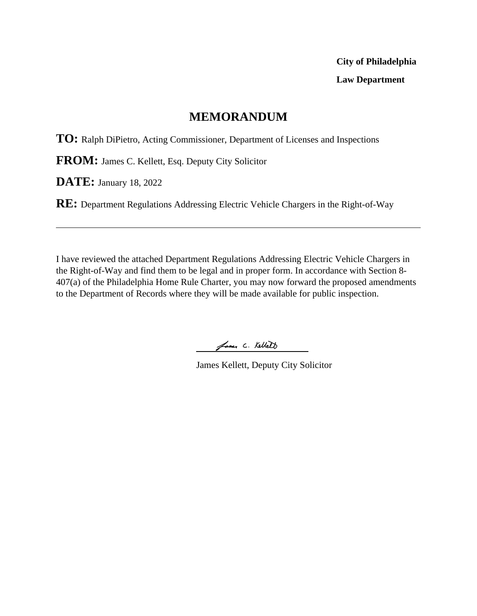# **City of Philadelphia Law Department**

## **MEMORANDUM**

**TO:** Ralph DiPietro, Acting Commissioner, Department of Licenses and Inspections

**FROM:** James C. Kellett, Esq. Deputy City Solicitor

**DATE:** January 18, 2022

**RE:** Department Regulations Addressing Electric Vehicle Chargers in the Right-of-Way

I have reviewed the attached Department Regulations Addressing Electric Vehicle Chargers in the Right-of-Way and find them to be legal and in proper form. In accordance with Section 8- 407(a) of the Philadelphia Home Rule Charter, you may now forward the proposed amendments to the Department of Records where they will be made available for public inspection.

James C. Kellett

James Kellett, Deputy City Solicitor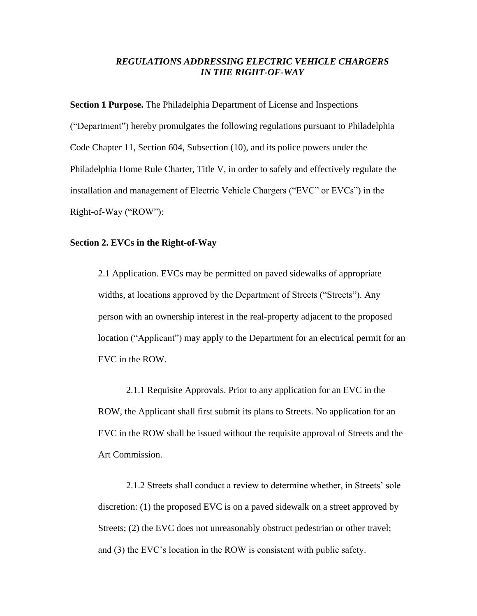### *REGULATIONS ADDRESSING ELECTRIC VEHICLE CHARGERS IN THE RIGHT-OF-WAY*

**Section 1 Purpose.** The Philadelphia Department of License and Inspections ("Department") hereby promulgates the following regulations pursuant to Philadelphia Code Chapter 11, Section 604, Subsection (10), and its police powers under the Philadelphia Home Rule Charter, Title V, in order to safely and effectively regulate the installation and management of Electric Vehicle Chargers ("EVC" or EVCs") in the Right-of-Way ("ROW"):

### **Section 2. EVCs in the Right-of-Way**

2.1 Application. EVCs may be permitted on paved sidewalks of appropriate widths, at locations approved by the Department of Streets ("Streets"). Any person with an ownership interest in the real-property adjacent to the proposed location ("Applicant") may apply to the Department for an electrical permit for an EVC in the ROW.

2.1.1 Requisite Approvals. Prior to any application for an EVC in the ROW, the Applicant shall first submit its plans to Streets. No application for an EVC in the ROW shall be issued without the requisite approval of Streets and the Art Commission.

2.1.2 Streets shall conduct a review to determine whether, in Streets' sole discretion: (1) the proposed EVC is on a paved sidewalk on a street approved by Streets; (2) the EVC does not unreasonably obstruct pedestrian or other travel; and (3) the EVC's location in the ROW is consistent with public safety.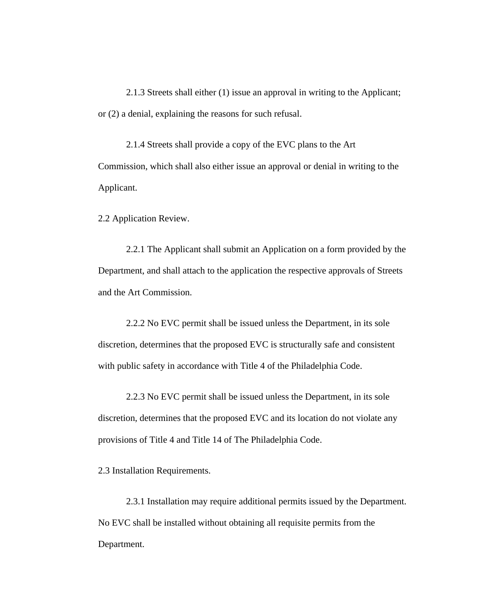2.1.3 Streets shall either (1) issue an approval in writing to the Applicant; or (2) a denial, explaining the reasons for such refusal.

2.1.4 Streets shall provide a copy of the EVC plans to the Art Commission, which shall also either issue an approval or denial in writing to the Applicant.

2.2 Application Review.

2.2.1 The Applicant shall submit an Application on a form provided by the Department, and shall attach to the application the respective approvals of Streets and the Art Commission.

2.2.2 No EVC permit shall be issued unless the Department, in its sole discretion, determines that the proposed EVC is structurally safe and consistent with public safety in accordance with Title 4 of the Philadelphia Code.

2.2.3 No EVC permit shall be issued unless the Department, in its sole discretion, determines that the proposed EVC and its location do not violate any provisions of Title 4 and Title 14 of The Philadelphia Code.

2.3 Installation Requirements.

2.3.1 Installation may require additional permits issued by the Department. No EVC shall be installed without obtaining all requisite permits from the Department.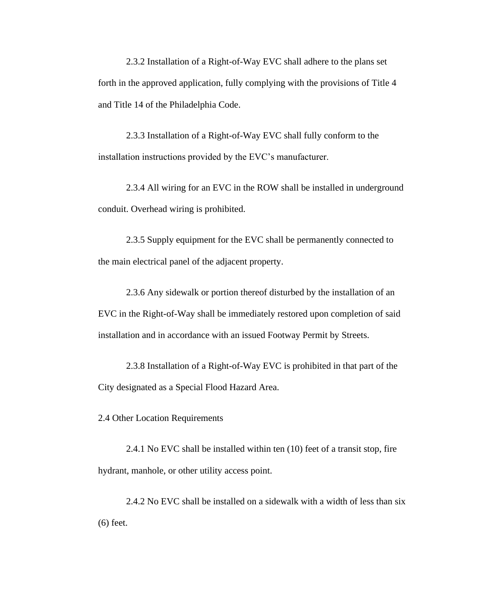2.3.2 Installation of a Right-of-Way EVC shall adhere to the plans set forth in the approved application, fully complying with the provisions of Title 4 and Title 14 of the Philadelphia Code.

2.3.3 Installation of a Right-of-Way EVC shall fully conform to the installation instructions provided by the EVC's manufacturer.

2.3.4 All wiring for an EVC in the ROW shall be installed in underground conduit. Overhead wiring is prohibited.

2.3.5 Supply equipment for the EVC shall be permanently connected to the main electrical panel of the adjacent property.

2.3.6 Any sidewalk or portion thereof disturbed by the installation of an EVC in the Right-of-Way shall be immediately restored upon completion of said installation and in accordance with an issued Footway Permit by Streets.

2.3.8 Installation of a Right-of-Way EVC is prohibited in that part of the City designated as a Special Flood Hazard Area.

2.4 Other Location Requirements

2.4.1 No EVC shall be installed within ten (10) feet of a transit stop, fire hydrant, manhole, or other utility access point.

2.4.2 No EVC shall be installed on a sidewalk with a width of less than six (6) feet.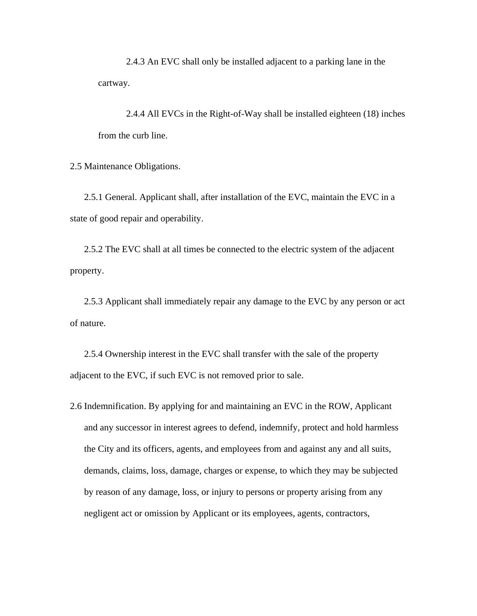2.4.3 An EVC shall only be installed adjacent to a parking lane in the cartway.

2.4.4 All EVCs in the Right-of-Way shall be installed eighteen (18) inches from the curb line.

2.5 Maintenance Obligations.

2.5.1 General. Applicant shall, after installation of the EVC, maintain the EVC in a state of good repair and operability.

2.5.2 The EVC shall at all times be connected to the electric system of the adjacent property.

2.5.3 Applicant shall immediately repair any damage to the EVC by any person or act of nature.

2.5.4 Ownership interest in the EVC shall transfer with the sale of the property adjacent to the EVC, if such EVC is not removed prior to sale.

2.6 Indemnification. By applying for and maintaining an EVC in the ROW, Applicant and any successor in interest agrees to defend, indemnify, protect and hold harmless the City and its officers, agents, and employees from and against any and all suits, demands, claims, loss, damage, charges or expense, to which they may be subjected by reason of any damage, loss, or injury to persons or property arising from any negligent act or omission by Applicant or its employees, agents, contractors,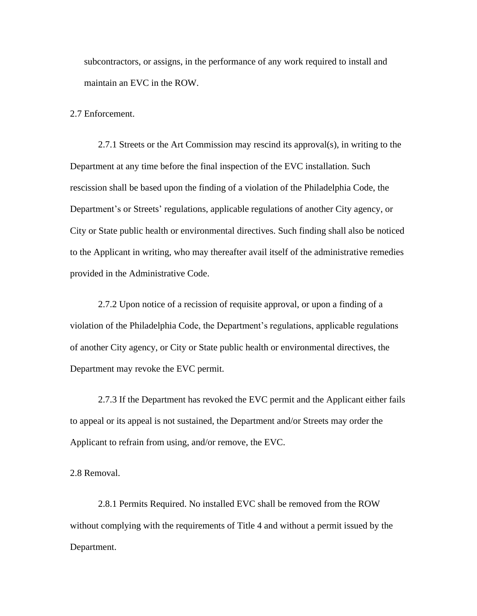subcontractors, or assigns, in the performance of any work required to install and maintain an EVC in the ROW.

2.7 Enforcement.

2.7.1 Streets or the Art Commission may rescind its approval(s), in writing to the Department at any time before the final inspection of the EVC installation. Such rescission shall be based upon the finding of a violation of the Philadelphia Code, the Department's or Streets' regulations, applicable regulations of another City agency, or City or State public health or environmental directives. Such finding shall also be noticed to the Applicant in writing, who may thereafter avail itself of the administrative remedies provided in the Administrative Code.

2.7.2 Upon notice of a recission of requisite approval, or upon a finding of a violation of the Philadelphia Code, the Department's regulations, applicable regulations of another City agency, or City or State public health or environmental directives, the Department may revoke the EVC permit.

2.7.3 If the Department has revoked the EVC permit and the Applicant either fails to appeal or its appeal is not sustained, the Department and/or Streets may order the Applicant to refrain from using, and/or remove, the EVC.

2.8 Removal.

2.8.1 Permits Required. No installed EVC shall be removed from the ROW without complying with the requirements of Title 4 and without a permit issued by the Department.